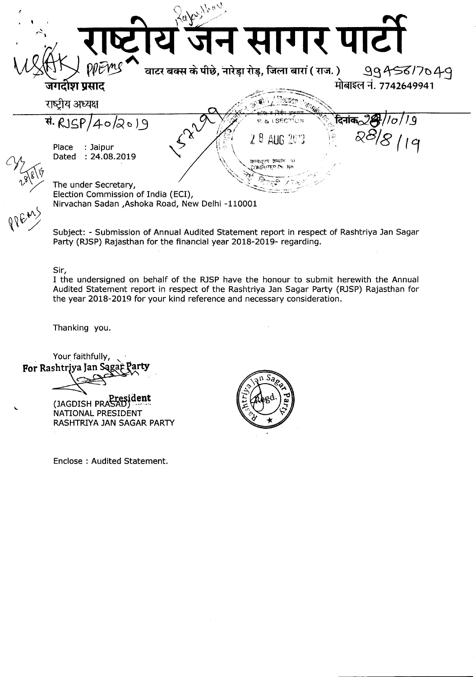

Subject: - Submission of Annual Audited Statement report in respect of Rashtriya Jan Sagar Party (RJSP) Rajasthan for the financial year 2018-2019- regarding.

Sir,

I the undersigned on behalf of the RJSP have the honour to submit herewith the Annual Audited Statement report in respect of the Rashtriya Jan Sagar Party (RJSP) Rajasthan for the year 2018-2019 for your kind reference and necessary consideration.

Thanking you.

Your faithfully, For Rashtriya Jan Sągąp Party

**J>resident** (JAGDISH PRA"SAu) ...' .., NATIONAL PRESIDENT RASHTRIYA JAN SAGAR PARTY

Enclose : Audited Statement.

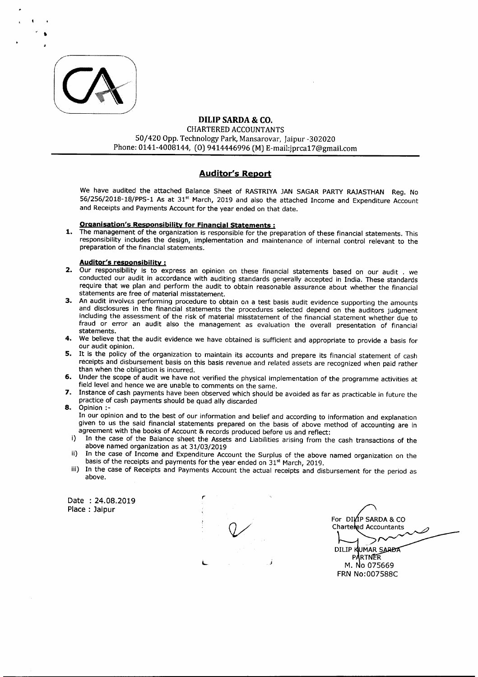

,

## DILIP SARDA & CO. CHARTEREDACCOUNTANTS 50/420 Opp. Technology Park, Mansarovar, [aipur -302020 Phone: 0141-4008144, (0) 9414446996 (M) E-mail:jprca17@gmail.com

## **Auditor's Report**

We have audited the attached Balance Sheet of RASTRIYA JAN SAGAR PARTY RAJASTHAN Reg. No 56/256/2018-18/PPS-1 As at 31<sup>st</sup> March, 2019 and also the attached Income and Expenditure Account and Receipts and Payments Account for the year ended on that date.

## Organisation's Responsibility for Financial Statements:

1. The management of the organization is responsible for the preparation of these financial statements. This responsibility includes the design, implementation and maintenance of internal control relevant to the preparation of the financial statements.

## Auditor's responsibility:

- 2. Our responsibility is to express an opinion on these financial statements based on our audit . we conducted our audit in accordance with auditing standards generally accepted in India. These standards require that we plan and perform the audit to obtain reasonable assurance about whether the financial statements are free of material misstatement.
- 3. An audit involves performing procedure to obtain on a test basis audit evidence supporting the amounts and disclosures in the financial statements the procedures selected depend on the auditors judgment including the assessment of the risk of material misstatement of the financial statement whether due to fraud or error an audit also the management as evaluation the overall presentation of financial statements.
- 4. We believe that the audit evidence we have obtained is sufficient and appropriate to provide a basis for our audit opinion.
- 5. It is the policy of the organization to maintain its accounts and prepare its financial statement of cash receipts and disbursement basis on this basis revenue and related assets are recognized when paid rather than when the obligation is incurred.
- 6. Under the scope of audit we have not verified the physical implementation of the programme activities at field level and hence we are unable to comments on the same.
- 7. Instance of cash payments have been observed which should be avoided as far as practicable in future the practice of cash payments should be quad ally discarded

8. Opinion:-

Place: Jaipur

In our opinion and to the best of our information and belief and according to information and explanation given to us the said financial statements prepared on the basis of above method of accounting are in agreement with the books of Account & records produced before us and reflect:

- i) In the case of the Balance sheet the Assets and Liabilities arising from the cash transactions of the above named organization as at 31/03/2019
- ii) In the case of Income and Expenditure Account the Surplus of the above named organization on the basis of the receipts and payments for the year ended on 31<sup>st</sup> March, 2019.
- iii) In the case of Receipts and Payments Account the actual receipts and disbursement for the period as above.

Date : 24.08.2019

L

,.

For DIVIP SARDA & CO Chartered Accountants

DILIP KUMAR SARDA **PARTNER** M. No 075669 FRN No:007588C